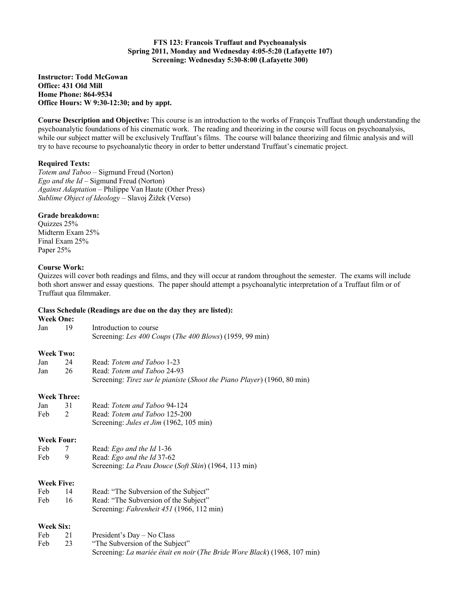**Instructor: Todd McGowan Office: 431 Old Mill Home Phone: 864-9534 Office Hours: W 9:30-12:30; and by appt.**

**Course Description and Objective:** This course is an introduction to the works of François Truffaut though understanding the psychoanalytic foundations of his cinematic work. The reading and theorizing in the course will focus on psychoanalysis, while our subject matter will be exclusively Truffaut's films. The course will balance theorizing and filmic analysis and will try to have recourse to psychoanalytic theory in order to better understand Truffaut's cinematic project.

# **Required Texts:**

*Totem and Taboo* – Sigmund Freud (Norton) *Ego and the Id* – Sigmund Freud (Norton) *Against Adaptation* – Philippe Van Haute (Other Press) *Sublime Object of Ideology* – Slavoj Žižek (Verso)

### **Grade breakdown:**

Quizzes 25% Midterm Exam 25% Final Exam 25% Paper 25%

### **Course Work:**

Quizzes will cover both readings and films, and they will occur at random throughout the semester. The exams will include both short answer and essay questions. The paper should attempt a psychoanalytic interpretation of a Truffaut film or of Truffaut qua filmmaker.

#### **Class Schedule (Readings are due on the day they are listed):**

# **Week One:**

| wen viie.          |    |                                                                           |
|--------------------|----|---------------------------------------------------------------------------|
| Jan                | 19 | Introduction to course                                                    |
|                    |    | Screening: Les 400 Coups (The 400 Blows) (1959, 99 min)                   |
| <b>Week Two:</b>   |    |                                                                           |
| Jan                | 24 | Read: Totem and Taboo 1-23                                                |
| Jan                | 26 | Read: Totem and Taboo 24-93                                               |
|                    |    | Screening: Tirez sur le pianiste (Shoot the Piano Player) (1960, 80 min)  |
| <b>Week Three:</b> |    |                                                                           |
| Jan                | 31 | Read: Totem and Taboo 94-124                                              |
| Feb                | 2  | Read: Totem and Taboo 125-200                                             |
|                    |    | Screening: <i>Jules et Jim</i> (1962, 105 min)                            |
| <b>Week Four:</b>  |    |                                                                           |
| Feb                | 7  | Read: Ego and the Id 1-36                                                 |
| Feb                | 9  | Read: Ego and the Id 37-62                                                |
|                    |    | Screening: La Peau Douce (Soft Skin) (1964, 113 min)                      |
| <b>Week Five:</b>  |    |                                                                           |
| Feb                | 14 | Read: "The Subversion of the Subject"                                     |
| Feb                | 16 | Read: "The Subversion of the Subject"                                     |
|                    |    | Screening: Fahrenheit 451 (1966, 112 min)                                 |
| <b>Week Six:</b>   |    |                                                                           |
| Feb                | 21 | President's Day - No Class                                                |
| Feb                | 23 | "The Subversion of the Subject"                                           |
|                    |    | Screening: La mariée était en noir (The Bride Wore Black) (1968, 107 min) |
|                    |    |                                                                           |